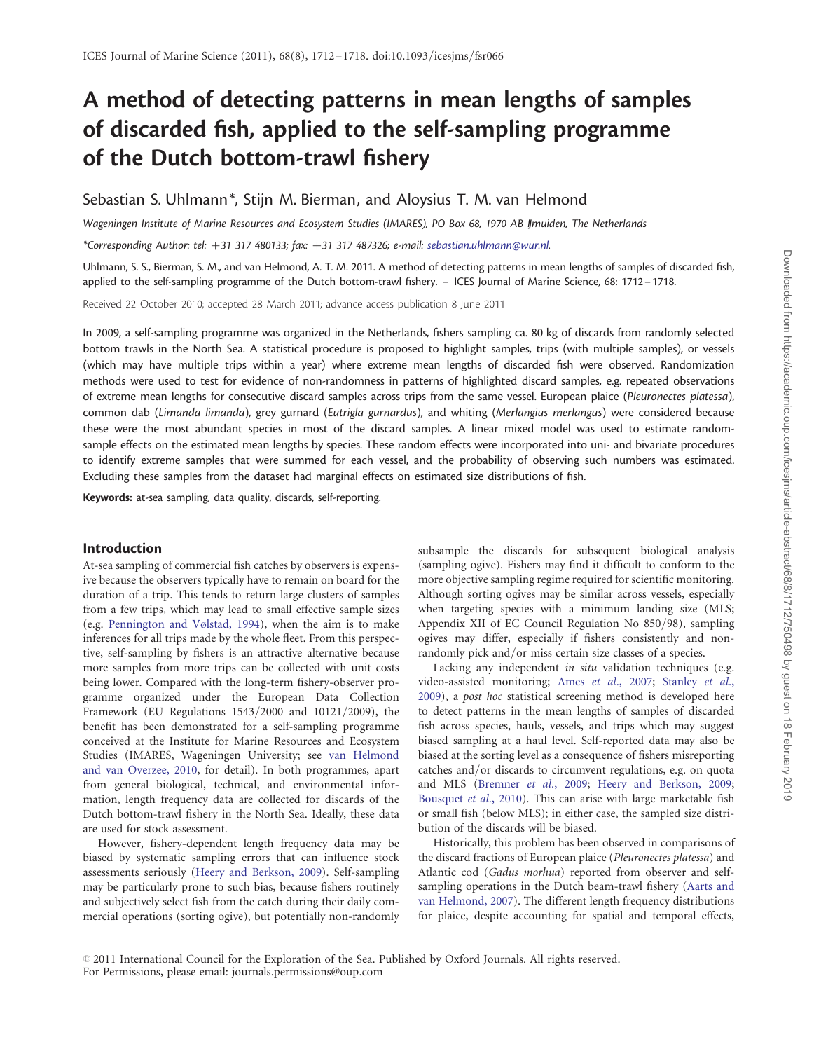# A method of detecting patterns in mean lengths of samples of discarded fish, applied to the self-sampling programme of the Dutch bottom-trawl fishery

Sebastian S. Uhlmann\*, Stijn M. Bierman, and Aloysius T. M. van Helmond

Wageningen Institute of Marine Resources and Ecosystem Studies (IMARES), PO Box 68, 1970 AB IJmuiden, The Netherlands

\*Corresponding Author: tel: +31 317 480133; fax: +31 317 487326; e-mail: [sebastian.uhlmann@wur.nl](mailto:sebastian.uhlmann@wur.nl).

Uhlmann, S. S., Bierman, S. M., and van Helmond, A. T. M. 2011. A method of detecting patterns in mean lengths of samples of discarded fish, applied to the self-sampling programme of the Dutch bottom-trawl fishery. – ICES Journal of Marine Science, 68: 1712–1718.

Received 22 October 2010; accepted 28 March 2011; advance access publication 8 June 2011

In 2009, a self-sampling programme was organized in the Netherlands, fishers sampling ca. 80 kg of discards from randomly selected bottom trawls in the North Sea. A statistical procedure is proposed to highlight samples, trips (with multiple samples), or vessels (which may have multiple trips within a year) where extreme mean lengths of discarded fish were observed. Randomization methods were used to test for evidence of non-randomness in patterns of highlighted discard samples, e.g. repeated observations of extreme mean lengths for consecutive discard samples across trips from the same vessel. European plaice (Pleuronectes platessa), common dab (Limanda limanda), grey gurnard (Eutrigla gurnardus), and whiting (Merlangius merlangus) were considered because these were the most abundant species in most of the discard samples. A linear mixed model was used to estimate randomsample effects on the estimated mean lengths by species. These random effects were incorporated into uni- and bivariate procedures to identify extreme samples that were summed for each vessel, and the probability of observing such numbers was estimated. Excluding these samples from the dataset had marginal effects on estimated size distributions of fish.

Keywords: at-sea sampling, data quality, discards, self-reporting.

# Introduction

At-sea sampling of commercial fish catches by observers is expensive because the observers typically have to remain on board for the duration of a trip. This tends to return large clusters of samples from a few trips, which may lead to small effective sample sizes (e.g. [Pennington and Vølstad, 1994\)](#page-6-0), when the aim is to make inferences for all trips made by the whole fleet. From this perspective, self-sampling by fishers is an attractive alternative because more samples from more trips can be collected with unit costs being lower. Compared with the long-term fishery-observer programme organized under the European Data Collection Framework (EU Regulations 1543/2000 and 10121/2009), the benefit has been demonstrated for a self-sampling programme conceived at the Institute for Marine Resources and Ecosystem Studies (IMARES, Wageningen University; see [van Helmond](#page-6-0) [and van Overzee, 2010](#page-6-0), for detail). In both programmes, apart from general biological, technical, and environmental information, length frequency data are collected for discards of the Dutch bottom-trawl fishery in the North Sea. Ideally, these data are used for stock assessment.

However, fishery-dependent length frequency data may be biased by systematic sampling errors that can influence stock assessments seriously [\(Heery and Berkson, 2009](#page-6-0)). Self-sampling may be particularly prone to such bias, because fishers routinely and subjectively select fish from the catch during their daily commercial operations (sorting ogive), but potentially non-randomly subsample the discards for subsequent biological analysis (sampling ogive). Fishers may find it difficult to conform to the more objective sampling regime required for scientific monitoring. Although sorting ogives may be similar across vessels, especially when targeting species with a minimum landing size (MLS; Appendix XII of EC Council Regulation No 850/98), sampling ogives may differ, especially if fishers consistently and nonrandomly pick and/or miss certain size classes of a species.

Lacking any independent in situ validation techniques (e.g. video-assisted monitoring; Ames et al[., 2007](#page-6-0); [Stanley](#page-6-0) et al., [2009\)](#page-6-0), a post hoc statistical screening method is developed here to detect patterns in the mean lengths of samples of discarded fish across species, hauls, vessels, and trips which may suggest biased sampling at a haul level. Self-reported data may also be biased at the sorting level as a consequence of fishers misreporting catches and/or discards to circumvent regulations, e.g. on quota and MLS ([Bremner](#page-6-0) et al., 2009; [Heery and Berkson, 2009;](#page-6-0) [Bousquet](#page-6-0) et al., 2010). This can arise with large marketable fish or small fish (below MLS); in either case, the sampled size distribution of the discards will be biased.

Historically, this problem has been observed in comparisons of the discard fractions of European plaice (Pleuronectes platessa) and Atlantic cod (Gadus morhua) reported from observer and selfsampling operations in the Dutch beam-trawl fishery [\(Aarts and](#page-6-0) [van Helmond, 2007](#page-6-0)). The different length frequency distributions for plaice, despite accounting for spatial and temporal effects,

 $\odot$  2011 International Council for the Exploration of the Sea. Published by Oxford Journals. All rights reserved. For Permissions, please email: journals.permissions@oup.com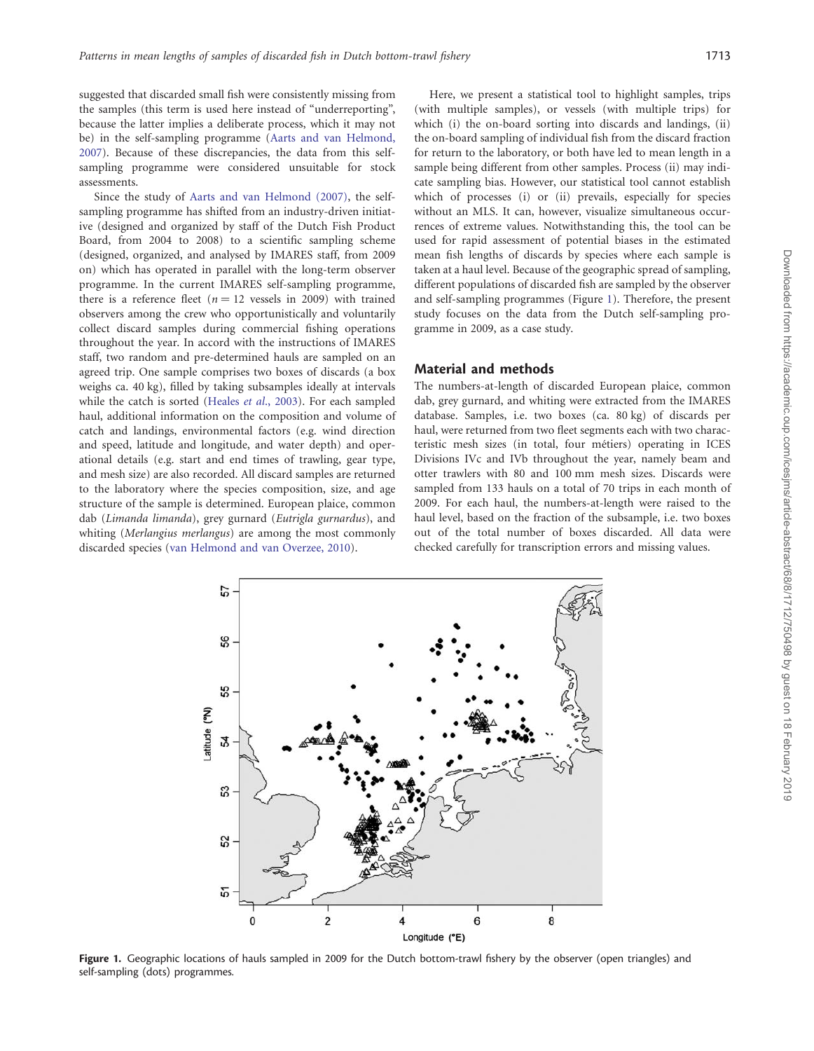suggested that discarded small fish were consistently missing from the samples (this term is used here instead of "underreporting", because the latter implies a deliberate process, which it may not be) in the self-sampling programme [\(Aarts and van Helmond,](#page-6-0) [2007\)](#page-6-0). Because of these discrepancies, the data from this selfsampling programme were considered unsuitable for stock assessments.

Since the study of [Aarts and van Helmond \(2007\),](#page-6-0) the selfsampling programme has shifted from an industry-driven initiative (designed and organized by staff of the Dutch Fish Product Board, from 2004 to 2008) to a scientific sampling scheme (designed, organized, and analysed by IMARES staff, from 2009 on) which has operated in parallel with the long-term observer programme. In the current IMARES self-sampling programme, there is a reference fleet ( $n = 12$  vessels in 2009) with trained observers among the crew who opportunistically and voluntarily collect discard samples during commercial fishing operations throughout the year. In accord with the instructions of IMARES staff, two random and pre-determined hauls are sampled on an agreed trip. One sample comprises two boxes of discards (a box weighs ca. 40 kg), filled by taking subsamples ideally at intervals while the catch is sorted (Heales et al[., 2003](#page-6-0)). For each sampled haul, additional information on the composition and volume of catch and landings, environmental factors (e.g. wind direction and speed, latitude and longitude, and water depth) and operational details (e.g. start and end times of trawling, gear type, and mesh size) are also recorded. All discard samples are returned to the laboratory where the species composition, size, and age structure of the sample is determined. European plaice, common dab (Limanda limanda), grey gurnard (Eutrigla gurnardus), and whiting (Merlangius merlangus) are among the most commonly discarded species ([van Helmond and van Overzee, 2010\)](#page-6-0).

Here, we present a statistical tool to highlight samples, trips (with multiple samples), or vessels (with multiple trips) for which (i) the on-board sorting into discards and landings, (ii) the on-board sampling of individual fish from the discard fraction for return to the laboratory, or both have led to mean length in a sample being different from other samples. Process (ii) may indicate sampling bias. However, our statistical tool cannot establish which of processes (i) or (ii) prevails, especially for species without an MLS. It can, however, visualize simultaneous occurrences of extreme values. Notwithstanding this, the tool can be used for rapid assessment of potential biases in the estimated mean fish lengths of discards by species where each sample is taken at a haul level. Because of the geographic spread of sampling, different populations of discarded fish are sampled by the observer and self-sampling programmes (Figure 1). Therefore, the present study focuses on the data from the Dutch self-sampling programme in 2009, as a case study.

### Material and methods

The numbers-at-length of discarded European plaice, common dab, grey gurnard, and whiting were extracted from the IMARES database. Samples, i.e. two boxes (ca. 80 kg) of discards per haul, were returned from two fleet segments each with two characteristic mesh sizes (in total, four métiers) operating in ICES Divisions IVc and IVb throughout the year, namely beam and otter trawlers with 80 and 100 mm mesh sizes. Discards were sampled from 133 hauls on a total of 70 trips in each month of 2009. For each haul, the numbers-at-length were raised to the haul level, based on the fraction of the subsample, i.e. two boxes out of the total number of boxes discarded. All data were checked carefully for transcription errors and missing values.



Figure 1. Geographic locations of hauls sampled in 2009 for the Dutch bottom-trawl fishery by the observer (open triangles) and self-sampling (dots) programmes.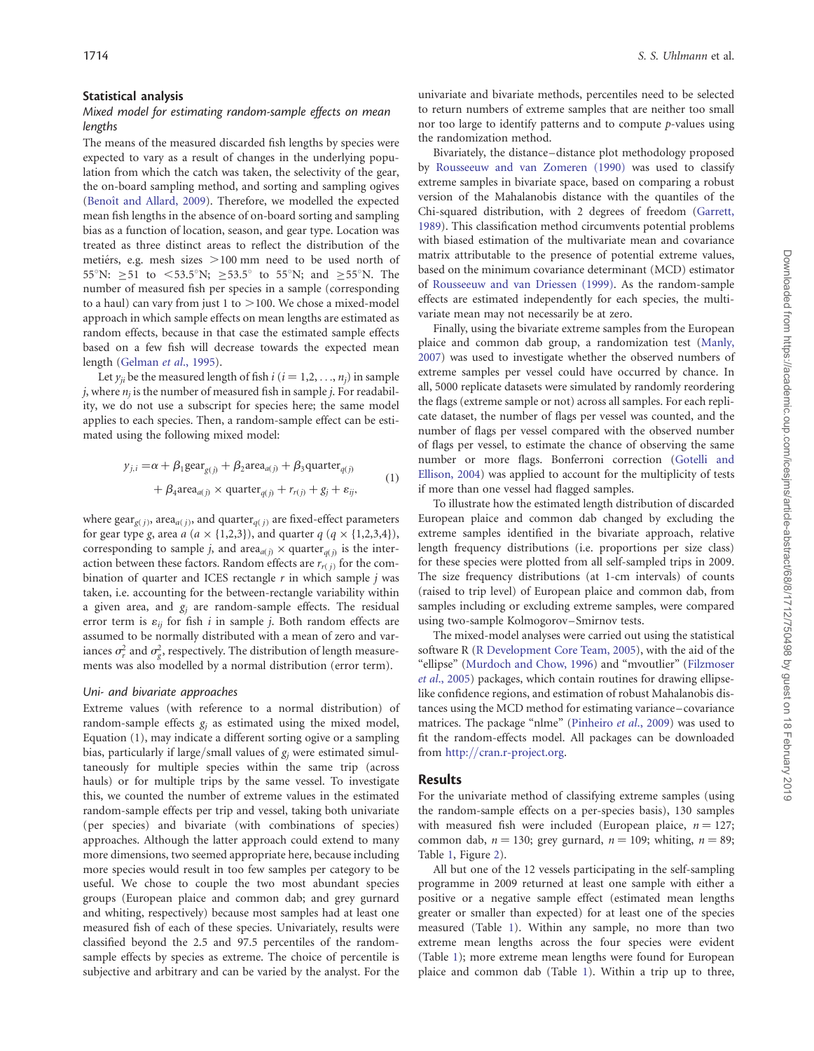#### Statistical analysis

#### Mixed model for estimating random-sample effects on mean lengths

The means of the measured discarded fish lengths by species were expected to vary as a result of changes in the underlying population from which the catch was taken, the selectivity of the gear, the on-board sampling method, and sorting and sampling ogives (Benoît and Allard, 2009). Therefore, we modelled the expected mean fish lengths in the absence of on-board sorting and sampling bias as a function of location, season, and gear type. Location was treated as three distinct areas to reflect the distribution of the metiérs, e.g. mesh sizes  $>100$  mm need to be used north of 55°N: ≥51 to <53.5°N; ≥53.5° to 55°N; and ≥55°N. The number of measured fish per species in a sample (corresponding to a haul) can vary from just 1 to  $>$  100. We chose a mixed-model approach in which sample effects on mean lengths are estimated as random effects, because in that case the estimated sample effects based on a few fish will decrease towards the expected mean length [\(Gelman](#page-6-0) et al., 1995).

Let  $y_{ji}$  be the measured length of fish  $i$  ( $i = 1,2, ..., n_j$ ) in sample *j*, where  $n_i$  is the number of measured fish in sample *j*. For readability, we do not use a subscript for species here; the same model applies to each species. Then, a random-sample effect can be estimated using the following mixed model:

$$
y_{j,i} = \alpha + \beta_1 \text{gear}_{g(j)} + \beta_2 \text{area}_{a(j)} + \beta_3 \text{quarter}_{q(j)} + \beta_4 \text{area}_{a(j)} \times \text{quarter}_{q(j)} + r_{r(j)} + g_j + \varepsilon_{ij},
$$
\n(1)

where  $\text{gear}_{g(j)}$ , area<sub>a(j)</sub>, and quarter<sub>q(j)</sub> are fixed-effect parameters for gear type g, area  $a$  ( $a \times \{1,2,3\}$ ), and quarter  $q$  ( $q \times \{1,2,3,4\}$ ), corresponding to sample j, and area<sub> $a(j)$ </sub> × quarter<sub> $q(j)$ </sub> is the interaction between these factors. Random effects are  $r_{r(i)}$  for the combination of quarter and ICES rectangle  $r$  in which sample  $j$  was taken, i.e. accounting for the between-rectangle variability within a given area, and  $g_i$  are random-sample effects. The residual error term is  $\varepsilon_{ij}$  for fish i in sample j. Both random effects are assumed to be normally distributed with a mean of zero and variances  $\sigma_r^2$  and  $\sigma_g^2$ , respectively. The distribution of length measurements was also modelled by a normal distribution (error term).

#### Uni- and bivariate approaches

Extreme values (with reference to a normal distribution) of random-sample effects  $g_i$  as estimated using the mixed model, Equation (1), may indicate a different sorting ogive or a sampling bias, particularly if large/small values of  $g_i$  were estimated simultaneously for multiple species within the same trip (across hauls) or for multiple trips by the same vessel. To investigate this, we counted the number of extreme values in the estimated random-sample effects per trip and vessel, taking both univariate (per species) and bivariate (with combinations of species) approaches. Although the latter approach could extend to many more dimensions, two seemed appropriate here, because including more species would result in too few samples per category to be useful. We chose to couple the two most abundant species groups (European plaice and common dab; and grey gurnard and whiting, respectively) because most samples had at least one measured fish of each of these species. Univariately, results were classified beyond the 2.5 and 97.5 percentiles of the randomsample effects by species as extreme. The choice of percentile is subjective and arbitrary and can be varied by the analyst. For the

univariate and bivariate methods, percentiles need to be selected to return numbers of extreme samples that are neither too small nor too large to identify patterns and to compute p-values using the randomization method.

Bivariately, the distance–distance plot methodology proposed by [Rousseeuw and van Zomeren \(1990\)](#page-6-0) was used to classify extreme samples in bivariate space, based on comparing a robust version of the Mahalanobis distance with the quantiles of the Chi-squared distribution, with 2 degrees of freedom ([Garrett,](#page-6-0) [1989\)](#page-6-0). This classification method circumvents potential problems with biased estimation of the multivariate mean and covariance matrix attributable to the presence of potential extreme values, based on the minimum covariance determinant (MCD) estimator of [Rousseeuw and van Driessen \(1999\).](#page-6-0) As the random-sample effects are estimated independently for each species, the multivariate mean may not necessarily be at zero.

Finally, using the bivariate extreme samples from the European plaice and common dab group, a randomization test ([Manly,](#page-6-0) [2007\)](#page-6-0) was used to investigate whether the observed numbers of extreme samples per vessel could have occurred by chance. In all, 5000 replicate datasets were simulated by randomly reordering the flags (extreme sample or not) across all samples. For each replicate dataset, the number of flags per vessel was counted, and the number of flags per vessel compared with the observed number of flags per vessel, to estimate the chance of observing the same number or more flags. Bonferroni correction [\(Gotelli and](#page-6-0) [Ellison, 2004](#page-6-0)) was applied to account for the multiplicity of tests if more than one vessel had flagged samples.

To illustrate how the estimated length distribution of discarded European plaice and common dab changed by excluding the extreme samples identified in the bivariate approach, relative length frequency distributions (i.e. proportions per size class) for these species were plotted from all self-sampled trips in 2009. The size frequency distributions (at 1-cm intervals) of counts (raised to trip level) of European plaice and common dab, from samples including or excluding extreme samples, were compared using two-sample Kolmogorov–Smirnov tests.

The mixed-model analyses were carried out using the statistical software R [\(R Development Core Team, 2005\)](#page-6-0), with the aid of the "ellipse" ([Murdoch and Chow, 1996](#page-6-0)) and "mvoutlier" ([Filzmoser](#page-6-0) et al[., 2005\)](#page-6-0) packages, which contain routines for drawing ellipselike confidence regions, and estimation of robust Mahalanobis distances using the MCD method for estimating variance – covariance matrices. The package "nlme" [\(Pinheiro](#page-6-0) et al., 2009) was used to fit the random-effects model. All packages can be downloaded from [http:](http://cran.r-project.org)//[cran.r-project.org](http://cran.r-project.org).

#### Results

For the univariate method of classifying extreme samples (using the random-sample effects on a per-species basis), 130 samples with measured fish were included (European plaice,  $n = 127$ ; common dab,  $n = 130$ ; grey gurnard,  $n = 109$ ; whiting,  $n = 89$ ; Table [1](#page-3-0), Figure [2\)](#page-3-0).

All but one of the 12 vessels participating in the self-sampling programme in 2009 returned at least one sample with either a positive or a negative sample effect (estimated mean lengths greater or smaller than expected) for at least one of the species measured (Table [1\)](#page-3-0). Within any sample, no more than two extreme mean lengths across the four species were evident (Table [1\)](#page-3-0); more extreme mean lengths were found for European plaice and common dab (Table [1\)](#page-3-0). Within a trip up to three,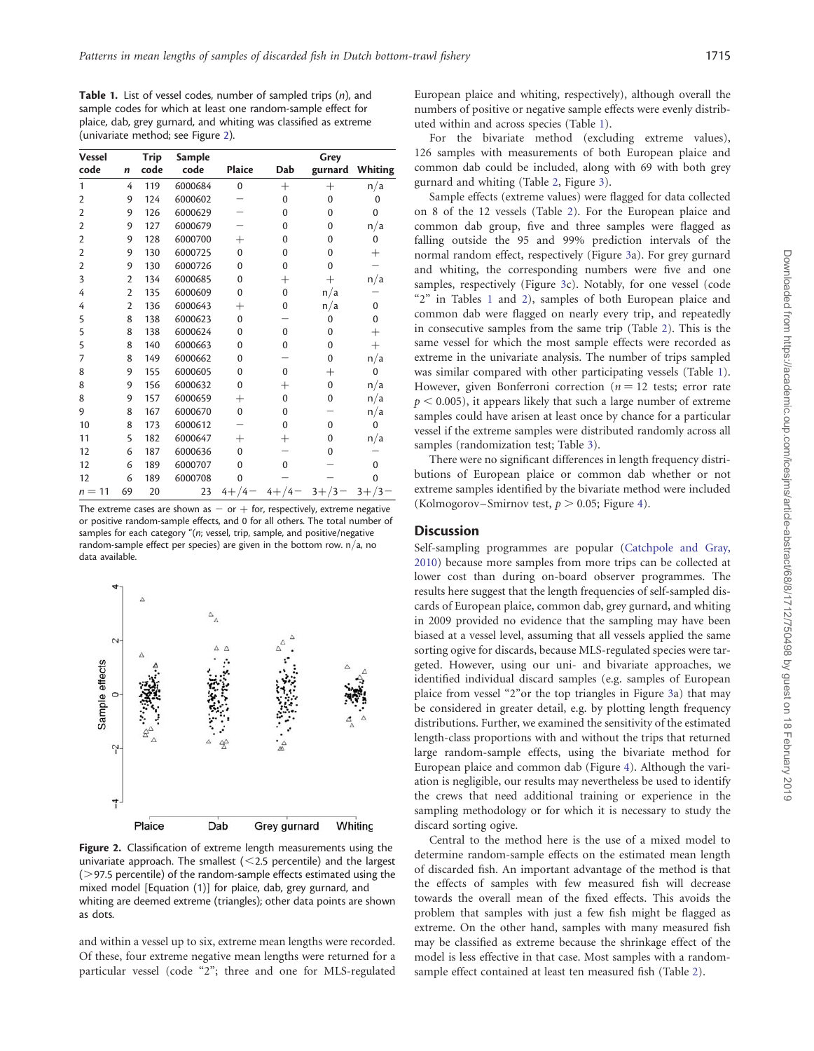<span id="page-3-0"></span>Table 1. List of vessel codes, number of sampled trips (n), and sample codes for which at least one random-sample effect for plaice, dab, grey gurnard, and whiting was classified as extreme (univariate method; see Figure 2).

| <b>Vessel</b>  |                | <b>Trip</b> | Sample  |                    |                    | Grey                    |                         |
|----------------|----------------|-------------|---------|--------------------|--------------------|-------------------------|-------------------------|
| code           | n              | code        | code    | <b>Plaice</b>      | Dab                | gurnard                 | Whiting                 |
| 1              | 4              | 119         | 6000684 | $\mathbf 0$        | $^{+}$             | $\hspace{0.1mm} +$      | $\mathsf{n}/\mathsf{a}$ |
| $\overline{2}$ | 9              | 124         | 6000602 |                    | 0                  | $\Omega$                | 0                       |
| $\overline{2}$ | 9              | 126         | 6000629 |                    | 0                  | $\Omega$                | 0                       |
| $\overline{2}$ | 9              | 127         | 6000679 |                    | $\mathbf{0}$       | 0                       | n/a                     |
| $\overline{2}$ | 9              | 128         | 6000700 | $\hspace{0.1mm} +$ | 0                  | $\mathbf 0$             | 0                       |
| $\overline{2}$ | 9              | 130         | 6000725 | $\Omega$           | $\mathbf{0}$       | $\Omega$                | $^+$                    |
| $\overline{2}$ | 9              | 130         | 6000726 | $\Omega$           | $\mathbf{0}$       | $\Omega$                |                         |
| 3              | 2              | 134         | 6000685 | 0                  | $\hspace{0.1mm} +$ | $^{+}$                  | n/a                     |
| 4              | $\overline{2}$ | 135         | 6000609 | 0                  | 0                  | n/a                     |                         |
| 4              | $\overline{2}$ | 136         | 6000643 | $^{+}$             | 0                  | $\mathsf{n}/\mathsf{a}$ | 0                       |
| 5              | 8              | 138         | 6000623 | $\mathbf{0}$       |                    | $\Omega$                | $\Omega$                |
| 5              | 8              | 138         | 6000624 | 0                  | 0                  | $\mathbf 0$             | $^+$                    |
| 5              | 8              | 140         | 6000663 | 0                  | 0                  | 0                       | $^+$                    |
| 7              | 8              | 149         | 6000662 | $\Omega$           |                    | $\Omega$                | n/a                     |
| 8              | 9              | 155         | 6000605 | 0                  | 0                  | $^{+}$                  | 0                       |
| 8              | 9              | 156         | 6000632 | 0                  | $^{+}$             | $\mathbf 0$             | n/a                     |
| 8              | 9              | 157         | 6000659 | $^{+}$             | 0                  | 0                       | n/a                     |
| 9              | 8              | 167         | 6000670 | $\mathbf 0$        | $\mathbf{0}$       |                         | n/a                     |
| 10             | 8              | 173         | 6000612 |                    | $\mathbf{0}$       | $\Omega$                | $\Omega$                |
| 11             | 5              | 182         | 6000647 | $^{+}$             | $^+$               | 0                       | n/a                     |
| 12             | 6              | 187         | 6000636 | 0                  |                    | $\mathbf 0$             |                         |
| 12             | 6              | 189         | 6000707 | 0                  | $\Omega$           |                         | 0                       |
| 12             | 6              | 189         | 6000708 | $\Omega$           |                    |                         | $\Omega$                |
| $n = 11$       | 69             | 20          | 23      | $4+$ /4 -          | 14                 | 3<br>3                  | $3+$                    |

The extreme cases are shown as  $-$  or  $+$  for, respectively, extreme negative or positive random-sample effects, and 0 for all others. The total number of samples for each category "(n; vessel, trip, sample, and positive/negative random-sample effect per species) are given in the bottom row.  $n/a$ , no data available.



Figure 2. Classification of extreme length measurements using the univariate approach. The smallest  $(<$  2.5 percentile) and the largest  $($  >97.5 percentile) of the random-sample effects estimated using the mixed model [Equation (1)] for plaice, dab, grey gurnard, and whiting are deemed extreme (triangles); other data points are shown as dots.

and within a vessel up to six, extreme mean lengths were recorded. Of these, four extreme negative mean lengths were returned for a particular vessel (code "2"; three and one for MLS-regulated European plaice and whiting, respectively), although overall the numbers of positive or negative sample effects were evenly distributed within and across species (Table 1).

For the bivariate method (excluding extreme values), 126 samples with measurements of both European plaice and common dab could be included, along with 69 with both grey gurnard and whiting (Table [2](#page-4-0), Figure [3\)](#page-4-0).

Sample effects (extreme values) were flagged for data collected on 8 of the 12 vessels (Table [2](#page-4-0)). For the European plaice and common dab group, five and three samples were flagged as falling outside the 95 and 99% prediction intervals of the normal random effect, respectively (Figure [3](#page-4-0)a). For grey gurnard and whiting, the corresponding numbers were five and one samples, respectively (Figure [3](#page-4-0)c). Notably, for one vessel (code "2" in Tables 1 and [2](#page-4-0)), samples of both European plaice and common dab were flagged on nearly every trip, and repeatedly in consecutive samples from the same trip (Table [2](#page-4-0)). This is the same vessel for which the most sample effects were recorded as extreme in the univariate analysis. The number of trips sampled was similar compared with other participating vessels (Table 1). However, given Bonferroni correction ( $n = 12$  tests; error rate  $p < 0.005$ ), it appears likely that such a large number of extreme samples could have arisen at least once by chance for a particular vessel if the extreme samples were distributed randomly across all samples (randomization test; Table [3](#page-5-0)).

There were no significant differences in length frequency distributions of European plaice or common dab whether or not extreme samples identified by the bivariate method were included (Kolmogorov–Smirnov test,  $p > 0.05$ ; Figure [4](#page-5-0)).

#### **Discussion**

Self-sampling programmes are popular [\(Catchpole and Gray,](#page-6-0) [2010](#page-6-0)) because more samples from more trips can be collected at lower cost than during on-board observer programmes. The results here suggest that the length frequencies of self-sampled discards of European plaice, common dab, grey gurnard, and whiting in 2009 provided no evidence that the sampling may have been biased at a vessel level, assuming that all vessels applied the same sorting ogive for discards, because MLS-regulated species were targeted. However, using our uni- and bivariate approaches, we identified individual discard samples (e.g. samples of European plaice from vessel "2"or the top triangles in Figure [3](#page-4-0)a) that may be considered in greater detail, e.g. by plotting length frequency distributions. Further, we examined the sensitivity of the estimated length-class proportions with and without the trips that returned large random-sample effects, using the bivariate method for European plaice and common dab (Figure [4\)](#page-5-0). Although the variation is negligible, our results may nevertheless be used to identify the crews that need additional training or experience in the sampling methodology or for which it is necessary to study the discard sorting ogive.

Central to the method here is the use of a mixed model to determine random-sample effects on the estimated mean length of discarded fish. An important advantage of the method is that the effects of samples with few measured fish will decrease towards the overall mean of the fixed effects. This avoids the problem that samples with just a few fish might be flagged as extreme. On the other hand, samples with many measured fish may be classified as extreme because the shrinkage effect of the model is less effective in that case. Most samples with a randomsample effect contained at least ten measured fish (Table [2](#page-4-0)).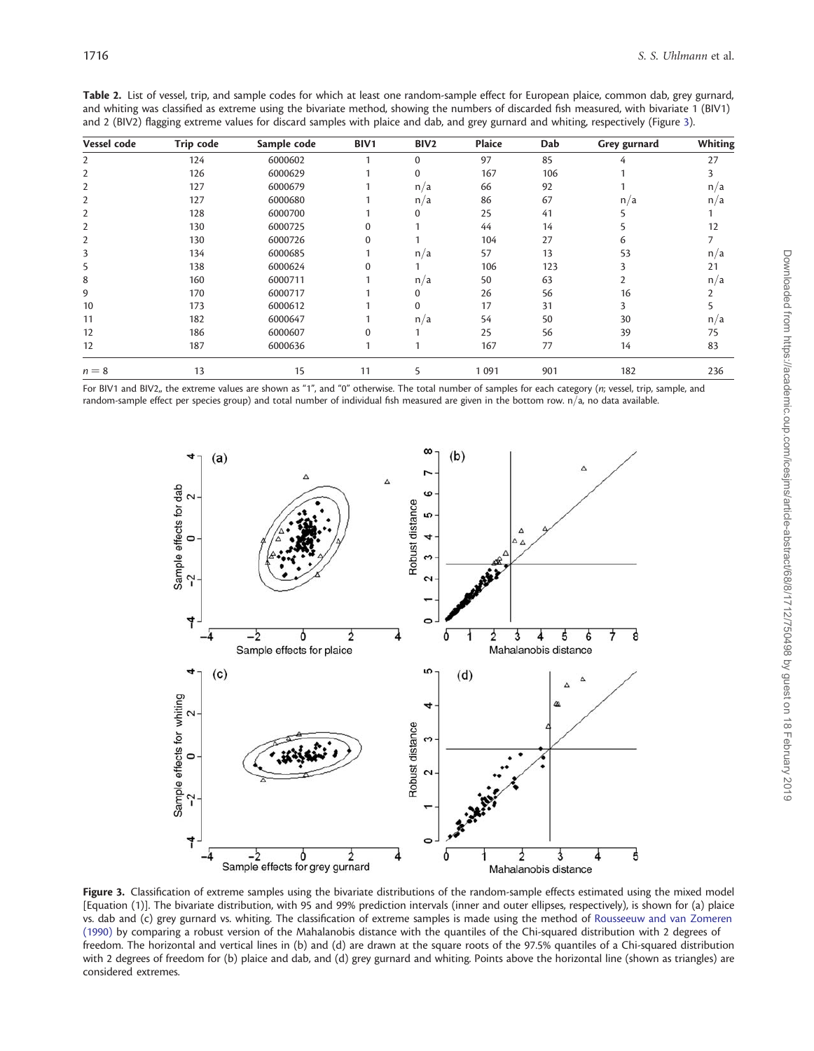| and whiting was classified as extreme using the bivariate method, showing the numbers of discarded fish measured, with bivariate 1 (BIV1)<br>and 2 (BIV2) flagging extreme values for discard samples with plaice and dab, and grey gurnard and whiting, respectively (Figure 3). |           |             |             |                  |               |     |              |         |  |
|-----------------------------------------------------------------------------------------------------------------------------------------------------------------------------------------------------------------------------------------------------------------------------------|-----------|-------------|-------------|------------------|---------------|-----|--------------|---------|--|
| Vessel code                                                                                                                                                                                                                                                                       | Trip code | Sample code | <b>BIV1</b> | BIV <sub>2</sub> | <b>Plaice</b> | Dab | Grey gurnard | Whiting |  |
|                                                                                                                                                                                                                                                                                   | 124       | 6000602     |             |                  | 97            |     |              | 27      |  |
|                                                                                                                                                                                                                                                                                   | 126       | 6000629     |             |                  | 167           | 106 |              |         |  |
|                                                                                                                                                                                                                                                                                   | 127       | 6000679     |             | n/a              | 66            | 92  |              | n/a     |  |
|                                                                                                                                                                                                                                                                                   | 127       | 6000680     |             | n/a              | 86            | 67  | n/a          | n/a     |  |

2 128 6000700 1 0 25 41 5 1 2 130 6000725 0 1 44 14 5 12 2 130 6000726 0 1 104 27 6 7 3 134 6000685 1 n/a 57 13 53 n/a 5 138 6000624 0 1 106 123 3 21 8 160 6000711 1 n/a 50 63 2 n/a 9 170 6000717 1 0 26 56 16 2 10 173 6000612 1 0 17 31 3 5 11 182 6000647 1 n/a 54 50 30 n/a 12 186 6000607 0 1 25 56 39 75 12 187 6000636 1 1 167 77 14 83

<span id="page-4-0"></span>Table 2. List of vessel, trip, and sample codes for which at least one random-sample effect for European plaice, common dab, grey gurnard,

| $n = 8$ |                                                                                                                                                                      |  | 091 | 901 | 182 |  |
|---------|----------------------------------------------------------------------------------------------------------------------------------------------------------------------|--|-----|-----|-----|--|
|         | For BIV1 and BIV2 <sub>n</sub> , the extreme values are shown as "1", and "0" otherwise. The total number of samples for each category (n; vessel, trip, sample, and |  |     |     |     |  |
|         | random-sample effect per species group) and total number of individual fish measured are given in the bottom row. $n/a$ , no data available.                         |  |     |     |     |  |



Figure 3. Classification of extreme samples using the bivariate distributions of the random-sample effects estimated using the mixed model [Equation (1)]. The bivariate distribution, with 95 and 99% prediction intervals (inner and outer ellipses, respectively), is shown for (a) plaice vs. dab and (c) grey gurnard vs. whiting. The classification of extreme samples is made using the method of [Rousseeuw and van Zomeren](#page-6-0) [\(1990\)](#page-6-0) by comparing a robust version of the Mahalanobis distance with the quantiles of the Chi-squared distribution with 2 degrees of freedom. The horizontal and vertical lines in (b) and (d) are drawn at the square roots of the 97.5% quantiles of a Chi-squared distribution with 2 degrees of freedom for (b) plaice and dab, and (d) grey gurnard and whiting. Points above the horizontal line (shown as triangles) are considered extremes.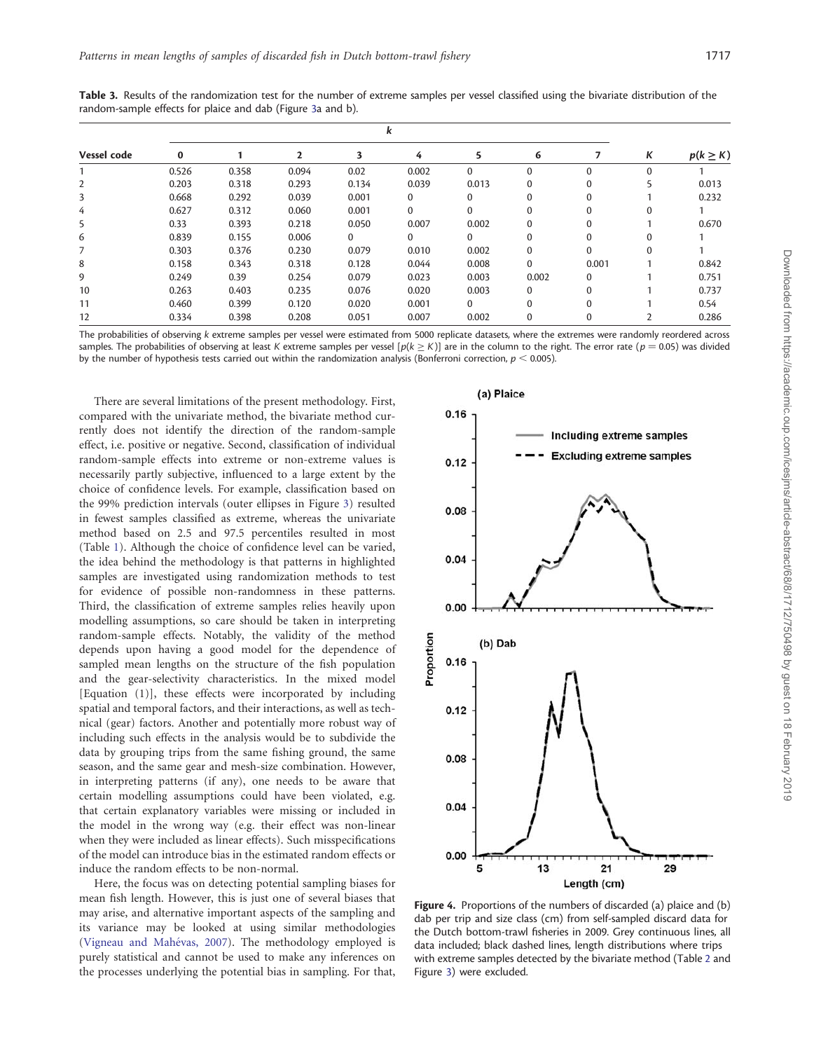|             | k        |       |              |          |              |          |          |          |          |               |
|-------------|----------|-------|--------------|----------|--------------|----------|----------|----------|----------|---------------|
| Vessel code | $\bf{0}$ |       | $\mathbf{2}$ | 3        | 4            | 5        | 6        |          | К        | $p(k \geq K)$ |
|             | 0.526    | 0.358 | 0.094        | 0.02     | 0.002        | 0        | $\Omega$ | $\Omega$ | $\Omega$ |               |
| 2           | 0.203    | 0.318 | 0.293        | 0.134    | 0.039        | 0.013    | 0        | 0        |          | 0.013         |
| 3           | 0.668    | 0.292 | 0.039        | 0.001    | $\mathbf{0}$ | 0        | 0        | $\Omega$ |          | 0.232         |
| 4           | 0.627    | 0.312 | 0.060        | 0.001    | $\bf{0}$     | 0        | $\Omega$ | $\Omega$ | $\Omega$ |               |
| 5           | 0.33     | 0.393 | 0.218        | 0.050    | 0.007        | 0.002    | $\Omega$ | $\Omega$ |          | 0.670         |
| 6           | 0.839    | 0.155 | 0.006        | $\Omega$ | $\mathbf 0$  | 0        | 0        | $\Omega$ | $\Omega$ |               |
|             | 0.303    | 0.376 | 0.230        | 0.079    | 0.010        | 0.002    | $\Omega$ | $\Omega$ | $\Omega$ |               |
| 8           | 0.158    | 0.343 | 0.318        | 0.128    | 0.044        | 0.008    | $\Omega$ | 0.001    |          | 0.842         |
| 9           | 0.249    | 0.39  | 0.254        | 0.079    | 0.023        | 0.003    | 0.002    | $\Omega$ |          | 0.751         |
| 10          | 0.263    | 0.403 | 0.235        | 0.076    | 0.020        | 0.003    | 0        | $\Omega$ |          | 0.737         |
| 11          | 0.460    | 0.399 | 0.120        | 0.020    | 0.001        | $\Omega$ | $\Omega$ | $\Omega$ |          | 0.54          |
| 12          | 0.334    | 0.398 | 0.208        | 0.051    | 0.007        | 0.002    | 0        | 0        |          | 0.286         |

<span id="page-5-0"></span>Table 3. Results of the randomization test for the number of extreme samples per vessel classified using the bivariate distribution of the random-sample effects for plaice and dab (Figure [3](#page-4-0)a and b).

The probabilities of observing k extreme samples per vessel were estimated from 5000 replicate datasets, where the extremes were randomly reordered across samples. The probabilities of observing at least K extreme samples per vessel [ $p(k \ge K)$ ] are in the column to the right. The error rate ( $p = 0.05$ ) was divided by the number of hypothesis tests carried out within the randomization analysis (Bonferroni correction,  $p < 0.005$ ).

There are several limitations of the present methodology. First, compared with the univariate method, the bivariate method currently does not identify the direction of the random-sample effect, i.e. positive or negative. Second, classification of individual random-sample effects into extreme or non-extreme values is necessarily partly subjective, influenced to a large extent by the choice of confidence levels. For example, classification based on the 99% prediction intervals (outer ellipses in Figure [3\)](#page-4-0) resulted in fewest samples classified as extreme, whereas the univariate method based on 2.5 and 97.5 percentiles resulted in most (Table [1\)](#page-3-0). Although the choice of confidence level can be varied, the idea behind the methodology is that patterns in highlighted samples are investigated using randomization methods to test for evidence of possible non-randomness in these patterns. Third, the classification of extreme samples relies heavily upon modelling assumptions, so care should be taken in interpreting random-sample effects. Notably, the validity of the method depends upon having a good model for the dependence of sampled mean lengths on the structure of the fish population and the gear-selectivity characteristics. In the mixed model [Equation (1)], these effects were incorporated by including spatial and temporal factors, and their interactions, as well as technical (gear) factors. Another and potentially more robust way of including such effects in the analysis would be to subdivide the data by grouping trips from the same fishing ground, the same season, and the same gear and mesh-size combination. However, in interpreting patterns (if any), one needs to be aware that certain modelling assumptions could have been violated, e.g. that certain explanatory variables were missing or included in the model in the wrong way (e.g. their effect was non-linear when they were included as linear effects). Such misspecifications of the model can introduce bias in the estimated random effects or induce the random effects to be non-normal.

Here, the focus was on detecting potential sampling biases for mean fish length. However, this is just one of several biases that may arise, and alternative important aspects of the sampling and its variance may be looked at using similar methodologies (Vigneau and Mahévas, 2007). The methodology employed is purely statistical and cannot be used to make any inferences on the processes underlying the potential bias in sampling. For that,



Figure 4. Proportions of the numbers of discarded (a) plaice and (b) dab per trip and size class (cm) from self-sampled discard data for the Dutch bottom-trawl fisheries in 2009. Grey continuous lines, all data included; black dashed lines, length distributions where trips with extreme samples detected by the bivariate method (Table [2](#page-4-0) and Figure [3\)](#page-4-0) were excluded.